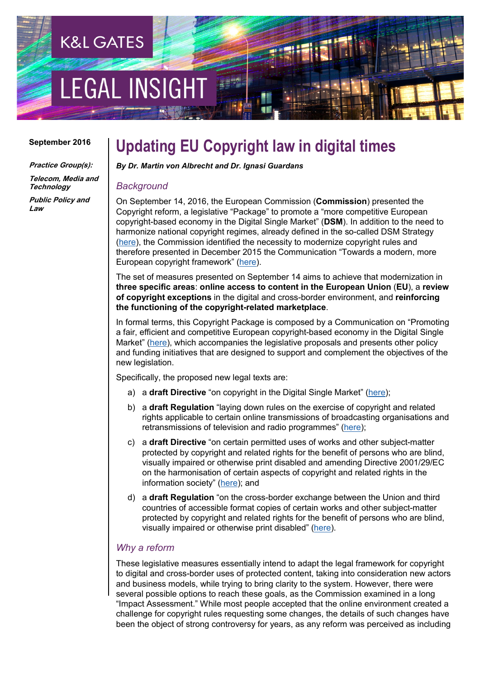# **EGAL INSIGH**

**K&L GATES** 

#### **September 2016**

**Practice Group(s): Telecom, Media and** 

**Technology Public Policy and**

**Law**

### **Updating EU Copyright law in digital times**

*By Dr. Martin von Albrecht and Dr. Ignasi Guardans*

#### *Background*

On September 14, 2016, the European Commission (**Commission**) presented the Copyright reform, a legislative "Package" to promote a "more competitive European copyright-based economy in the Digital Single Market" (**DSM**). In addition to the need to harmonize national copyright regimes, already defined in the so-called DSM Strategy [\(here\)](http://eur-lex.europa.eu/legal-content/EN/TXT/HTML/?uri=CELEX:52015DC0192&from=EN), the Commission identified the necessity to modernize copyright rules and therefore presented in December 2015 the Communication "Towards a modern, more European copyright framework" [\(here\)](http://eur-lex.europa.eu/legal-content/EN/TXT/HTML/?uri=CELEX:52015DC0626&from=EN).

The set of measures presented on September 14 aims to achieve that modernization in **three specific areas**: **online access to content in the European Union** (**EU**), a **review of copyright exceptions** in the digital and cross-border environment, and **reinforcing the functioning of the copyright-related marketplace**.

In formal terms, this Copyright Package is composed by a Communication on "Promoting a fair, efficient and competitive European copyright-based economy in the Digital Single Market" [\(here\)](https://ec.europa.eu/digital-single-market/en/news/promoting-fair-efficient-and-competitive-european-copyright-based-economy-digital-single-market), which accompanies the legislative proposals and presents other policy and funding initiatives that are designed to support and complement the objectives of the new legislation.

Specifically, the proposed new legal texts are:

- a) a **draft Directive** "on copyright in the Digital Single Market" [\(here\)](https://ec.europa.eu/digital-single-market/en/news/proposal-directive-european-parliament-and-council-copyright-digital-single-market);
- b) a **draft Regulation** "laying down rules on the exercise of copyright and related rights applicable to certain online transmissions of broadcasting organisations and retransmissions of television and radio programmes" [\(here\)](https://ec.europa.eu/digital-single-market/en/news/proposal-regulation-laying-down-rules-exercise-copyright-and-related-rights-applicable-certain);
- c) a **draft Directive** "on certain permitted uses of works and other subject-matter protected by copyright and related rights for the benefit of persons who are blind, visually impaired or otherwise print disabled and amending Directive 2001/29/EC on the harmonisation of certain aspects of copyright and related rights in the information society" [\(here\)](https://ec.europa.eu/digital-single-market/en/news/proposal-directive-permitted-uses-works-and-other-subject-matter-protected-copyright-and); and
- d) a **draft Regulation** "on the cross-border exchange between the Union and third countries of accessible format copies of certain works and other subject-matter protected by copyright and related rights for the benefit of persons who are blind, visually impaired or otherwise print disabled" [\(here\)](https://ec.europa.eu/digital-single-market/en/news/proposed-regulation-cross-border-exchange-between-union-and-third-countries-accessible-format).

#### *Why a reform*

These legislative measures essentially intend to adapt the legal framework for copyright to digital and cross-border uses of protected content, taking into consideration new actors and business models, while trying to bring clarity to the system. However, there were several possible options to reach these goals, as the Commission examined in a long "Impact Assessment." While most people accepted that the online environment created a challenge for copyright rules requesting some changes, the details of such changes have been the object of strong controversy for years, as any reform was perceived as including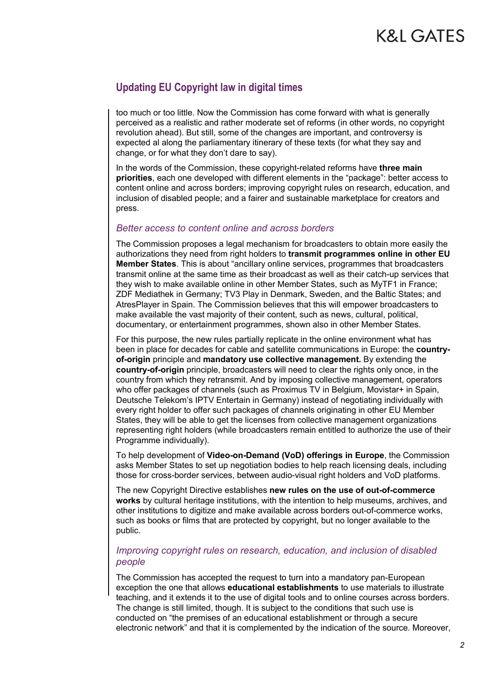#### **Updating EU Copyright law in digital times**

too much or too little. Now the Commission has come forward with what is generally perceived as a realistic and rather moderate set of reforms (in other words, no copyright revolution ahead). But still, some of the changes are important, and controversy is expected al along the parliamentary itinerary of these texts (for what they say and change, or for what they don't dare to say).

In the words of the Commission, these copyright-related reforms have **three main priorities**, each one developed with different elements in the "package": better access to content online and across borders; improving copyright rules on research, education, and inclusion of disabled people; and a fairer and sustainable marketplace for creators and press.

#### *Better access to content online and across borders*

The Commission proposes a legal mechanism for broadcasters to obtain more easily the authorizations they need from right holders to **transmit programmes online in other EU Member States**. This is about "ancillary online services, programmes that broadcasters transmit online at the same time as their broadcast as well as their catch-up services that they wish to make available online in other Member States, such as MyTF1 in France; ZDF Mediathek in Germany; TV3 Play in Denmark, Sweden, and the Baltic States; and AtresPlayer in Spain. The Commission believes that this will empower broadcasters to make available the vast majority of their content, such as news, cultural, political, documentary, or entertainment programmes, shown also in other Member States.

For this purpose, the new rules partially replicate in the online environment what has been in place for decades for cable and satellite communications in Europe: the **countryof-origin** principle and **mandatory use collective management.** By extending the **country-of-origin** principle, broadcasters will need to clear the rights only once, in the country from which they retransmit. And by imposing collective management, operators who offer packages of channels (such as Proximus TV in Belgium, Movistar+ in Spain, Deutsche Telekom's IPTV Entertain in Germany) instead of negotiating individually with every right holder to offer such packages of channels originating in other EU Member States, they will be able to get the licenses from collective management organizations representing right holders (while broadcasters remain entitled to authorize the use of their Programme individually).

To help development of **Video-on-Demand (VoD) offerings in Europe**, the Commission asks Member States to set up negotiation bodies to help reach licensing deals, including those for cross-border services, between audio-visual right holders and VoD platforms.

The new Copyright Directive establishes **new rules on the use of out-of-commerce works** by cultural heritage institutions, with the intention to help museums, archives, and other institutions to digitize and make available across borders out-of-commerce works, such as books or films that are protected by copyright, but no longer available to the public.

#### *Improving copyright rules on research, education, and inclusion of disabled people*

The Commission has accepted the request to turn into a mandatory pan-European exception the one that allows **educational establishments** to use materials to illustrate teaching, and it extends it to the use of digital tools and to online courses across borders. The change is still limited, though. It is subject to the conditions that such use is conducted on "the premises of an educational establishment or through a secure electronic network" and that it is complemented by the indication of the source. Moreover,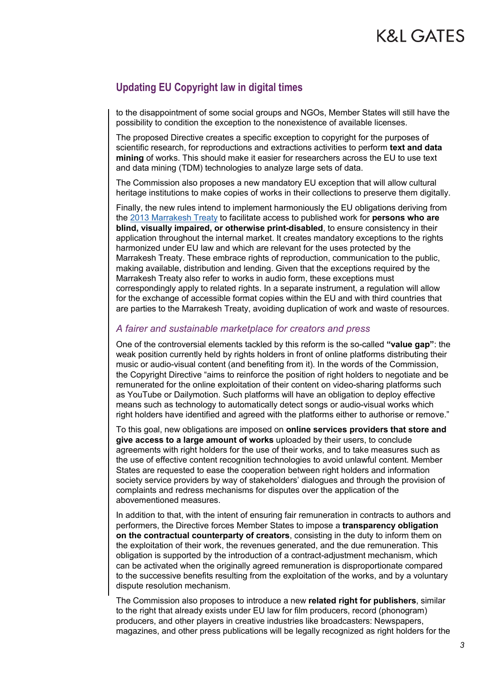#### **Updating EU Copyright law in digital times**

to the disappointment of some social groups and NGOs, Member States will still have the possibility to condition the exception to the nonexistence of available licenses.

The proposed Directive creates a specific exception to copyright for the purposes of scientific research, for reproductions and extractions activities to perform **text and data mining** of works. This should make it easier for researchers across the EU to use text and data mining (TDM) technologies to analyze large sets of data.

The Commission also proposes a new mandatory EU exception that will allow cultural heritage institutions to make copies of works in their collections to preserve them digitally.

Finally, the new rules intend to implement harmoniously the EU obligations deriving from the [2013 Marrakesh Treaty](http://www.wipo.int/treaties/en/ip/marrakesh/) to facilitate access to published work for **persons who are blind, visually impaired, or otherwise print-disabled**, to ensure consistency in their application throughout the internal market. It creates mandatory exceptions to the rights harmonized under EU law and which are relevant for the uses protected by the Marrakesh Treaty. These embrace rights of reproduction, communication to the public, making available, distribution and lending. Given that the exceptions required by the Marrakesh Treaty also refer to works in audio form, these exceptions must correspondingly apply to related rights. In a separate instrument, a regulation will allow for the exchange of accessible format copies within the EU and with third countries that are parties to the Marrakesh Treaty, avoiding duplication of work and waste of resources.

#### *A fairer and sustainable marketplace for creators and press*

One of the controversial elements tackled by this reform is the so-called **"value gap"**: the weak position currently held by rights holders in front of online platforms distributing their music or audio-visual content (and benefiting from it). In the words of the Commission, the Copyright Directive "aims to reinforce the position of right holders to negotiate and be remunerated for the online exploitation of their content on video-sharing platforms such as YouTube or Dailymotion. Such platforms will have an obligation to deploy effective means such as technology to automatically detect songs or audio-visual works which right holders have identified and agreed with the platforms either to authorise or remove."

To this goal, new obligations are imposed on **online services providers that store and give access to a large amount of works** uploaded by their users, to conclude agreements with right holders for the use of their works, and to take measures such as the use of effective content recognition technologies to avoid unlawful content. Member States are requested to ease the cooperation between right holders and information society service providers by way of stakeholders' dialogues and through the provision of complaints and redress mechanisms for disputes over the application of the abovementioned measures.

In addition to that, with the intent of ensuring fair remuneration in contracts to authors and performers, the Directive forces Member States to impose a **transparency obligation on the contractual counterparty of creators**, consisting in the duty to inform them on the exploitation of their work, the revenues generated, and the due remuneration. This obligation is supported by the introduction of a contract-adjustment mechanism, which can be activated when the originally agreed remuneration is disproportionate compared to the successive benefits resulting from the exploitation of the works, and by a voluntary dispute resolution mechanism.

The Commission also proposes to introduce a new **related right for publishers**, similar to the right that already exists under EU law for film producers, record (phonogram) producers, and other players in creative industries like broadcasters: Newspapers, magazines, and other press publications will be legally recognized as right holders for the